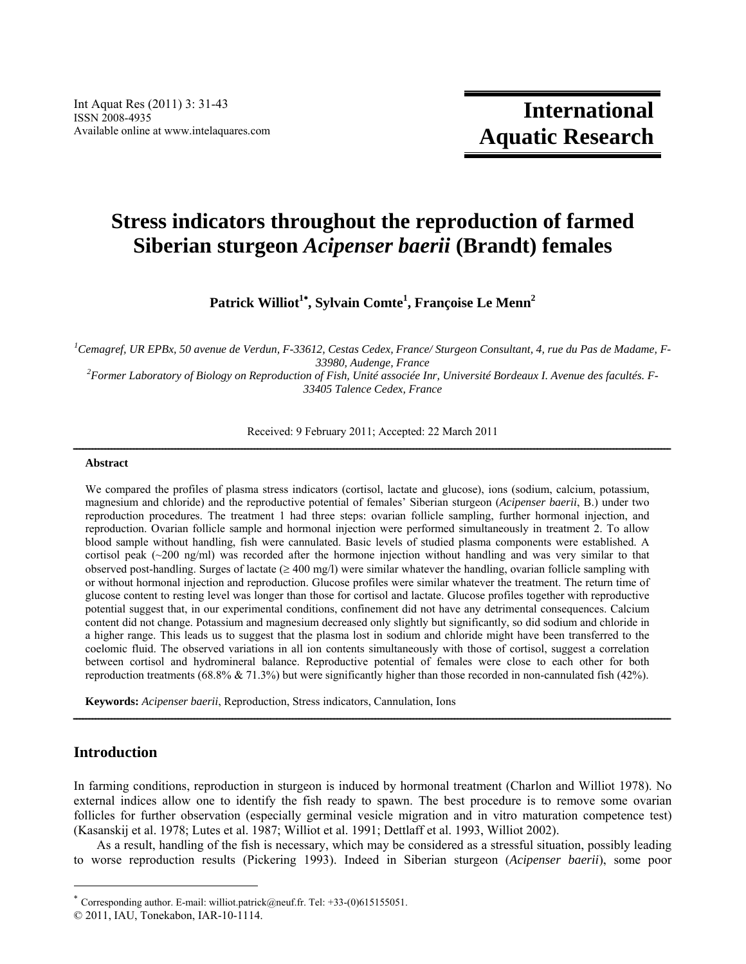# **Stress indicators throughout the reproduction of farmed Siberian sturgeon** *Acipenser baerii* **(Brandt) females**

**Patrick Williot1 , Sylvain Comte<sup>1</sup> , Françoise Le Menn2**

<sup>1</sup> Cemagref, UR EPBx, 50 avenue de Verdun, F-33612, Cestas Cedex, France/ Sturgeon Consultant, 4, rue du Pas de Madame, F-*33980, Audenge, France 2 Former Laboratory of Biology on Reproduction of Fish, Unité associée Inr, Université Bordeaux I. Avenue des facultés. F-*

*33405 Talence Cedex, France* 

Received: 9 February 2011; Accepted: 22 March 2011

# $A b struct \underline{a} = \underline{b}$

We compared the profiles of plasma stress indicators (cortisol, lactate and glucose), ions (sodium, calcium, potassium, magnesium and chloride) and the reproductive potential of females' Siberian sturgeon (*Acipenser baerii*, B.) under two reproduction procedures. The treatment 1 had three steps: ovarian follicle sampling, further hormonal injection, and reproduction. Ovarian follicle sample and hormonal injection were performed simultaneously in treatment 2. To allow blood sample without handling, fish were cannulated. Basic levels of studied plasma components were established. A cortisol peak (~200 ng/ml) was recorded after the hormone injection without handling and was very similar to that observed post-handling. Surges of lactate ( $\geq 400$  mg/l) were similar whatever the handling, ovarian follicle sampling with or without hormonal injection and reproduction. Glucose profiles were similar whatever the treatment. The return time of glucose content to resting level was longer than those for cortisol and lactate. Glucose profiles together with reproductive potential suggest that, in our experimental conditions, confinement did not have any detrimental consequences. Calcium content did not change. Potassium and magnesium decreased only slightly but significantly, so did sodium and chloride in a higher range. This leads us to suggest that the plasma lost in sodium and chloride might have been transferred to the coelomic fluid. The observed variations in all ion contents simultaneously with those of cortisol, suggest a correlation between cortisol and hydromineral balance. Reproductive potential of females were close to each other for both reproduction treatments (68.8% & 71.3%) but were significantly higher than those recorded in non-cannulated fish (42%).

**Keywords:** *Acipenser baerii*, Reproduction, Stress indicators, Cannulation, Ions

# **Introduction**

In farming conditions, reproduction in sturgeon is induced by hormonal treatment (Charlon and Williot 1978). No external indices allow one to identify the fish ready to spawn. The best procedure is to remove some ovarian follicles for further observation (especially germinal vesicle migration and in vitro maturation competence test) (Kasanskij et al. 1978; Lutes et al. 1987; Williot et al. 1991; Dettlaff et al. 1993, Williot 2002).

ــــــــــــــــــــــــــــــــــــــــــــــــــــــــــــــــــــــــــــــــــــــــــــــــــــــــــــــــــــــــــــــــــــــــــــــــــــــــــــــــــــــــــــــــــــــــــــ

As a result, handling of the fish is necessary, which may be considered as a stressful situation, possibly leading to worse reproduction results (Pickering 1993). Indeed in Siberian sturgeon (*Acipenser baerii*), some poor

<sup>\*</sup> Corresponding author. E-mail: williot.patrick@neuf.fr. Tel:  $+33-(0)615155051$ .

<sup>© 2011,</sup> IAU, Tonekabon, IAR-10-1114.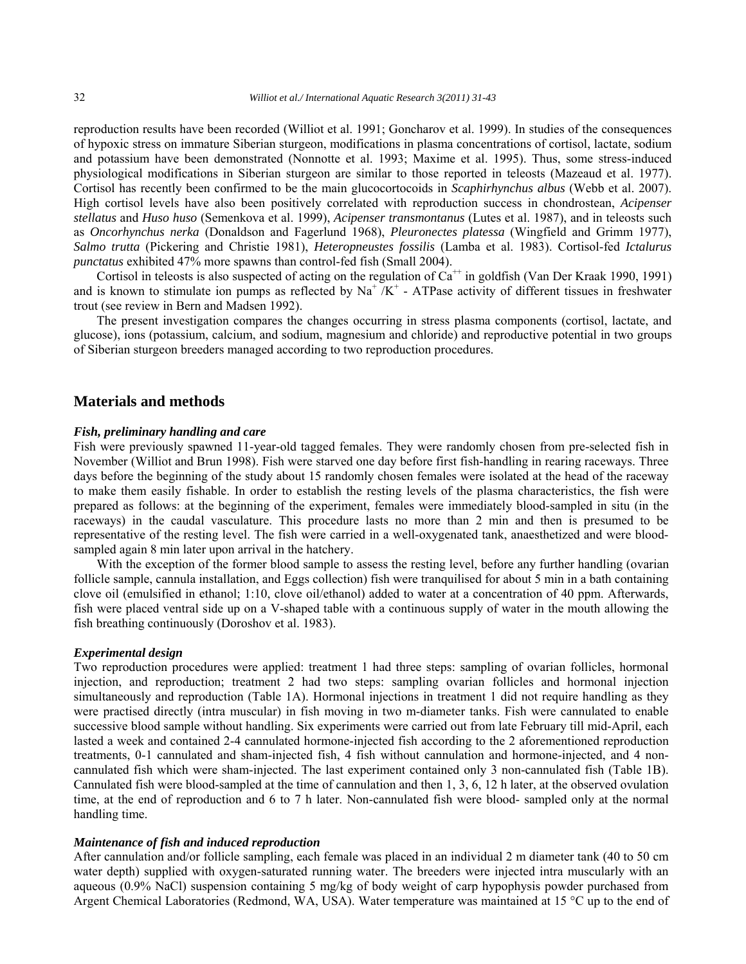reproduction results have been recorded (Williot et al. 1991; Goncharov et al. 1999). In studies of the consequences of hypoxic stress on immature Siberian sturgeon, modifications in plasma concentrations of cortisol, lactate, sodium and potassium have been demonstrated (Nonnotte et al. 1993; Maxime et al. 1995). Thus, some stress-induced physiological modifications in Siberian sturgeon are similar to those reported in teleosts (Mazeaud et al. 1977). Cortisol has recently been confirmed to be the main glucocortocoids in *Scaphirhynchus albus* (Webb et al. 2007). High cortisol levels have also been positively correlated with reproduction success in chondrostean, *Acipenser stellatus* and *Huso huso* (Semenkova et al. 1999), *Acipenser transmontanus* (Lutes et al. 1987), and in teleosts such as *Oncorhynchus nerka* (Donaldson and Fagerlund 1968), *Pleuronectes platessa* (Wingfield and Grimm 1977), *Salmo trutta* (Pickering and Christie 1981), *Heteropneustes fossilis* (Lamba et al. 1983). Cortisol-fed *Ictalurus punctatus* exhibited 47% more spawns than control-fed fish (Small 2004).

Cortisol in teleosts is also suspected of acting on the regulation of  $Ca^{++}$  in goldfish (Van Der Kraak 1990, 1991) and is known to stimulate ion pumps as reflected by  $\text{Na}^+ / \text{K}^+$  - ATPase activity of different tissues in freshwater trout (see review in Bern and Madsen 1992).

The present investigation compares the changes occurring in stress plasma components (cortisol, lactate, and glucose), ions (potassium, calcium, and sodium, magnesium and chloride) and reproductive potential in two groups of Siberian sturgeon breeders managed according to two reproduction procedures.

### **Materials and methods**

#### *Fish, preliminary handling and care*

Fish were previously spawned 11-year-old tagged females. They were randomly chosen from pre-selected fish in November (Williot and Brun 1998). Fish were starved one day before first fish-handling in rearing raceways. Three days before the beginning of the study about 15 randomly chosen females were isolated at the head of the raceway to make them easily fishable. In order to establish the resting levels of the plasma characteristics, the fish were prepared as follows: at the beginning of the experiment, females were immediately blood-sampled in situ (in the raceways) in the caudal vasculature. This procedure lasts no more than 2 min and then is presumed to be representative of the resting level. The fish were carried in a well-oxygenated tank, anaesthetized and were bloodsampled again 8 min later upon arrival in the hatchery.

With the exception of the former blood sample to assess the resting level, before any further handling (ovarian follicle sample, cannula installation, and Eggs collection) fish were tranquilised for about 5 min in a bath containing clove oil (emulsified in ethanol; 1:10, clove oil/ethanol) added to water at a concentration of 40 ppm. Afterwards, fish were placed ventral side up on a V-shaped table with a continuous supply of water in the mouth allowing the fish breathing continuously (Doroshov et al. 1983).

#### *Experimental design*

Two reproduction procedures were applied: treatment 1 had three steps: sampling of ovarian follicles, hormonal injection, and reproduction; treatment 2 had two steps: sampling ovarian follicles and hormonal injection simultaneously and reproduction (Table 1A). Hormonal injections in treatment 1 did not require handling as they were practised directly (intra muscular) in fish moving in two m-diameter tanks. Fish were cannulated to enable successive blood sample without handling. Six experiments were carried out from late February till mid-April, each lasted a week and contained 2-4 cannulated hormone-injected fish according to the 2 aforementioned reproduction treatments, 0-1 cannulated and sham-injected fish, 4 fish without cannulation and hormone-injected, and 4 noncannulated fish which were sham-injected. The last experiment contained only 3 non-cannulated fish (Table 1B). Cannulated fish were blood-sampled at the time of cannulation and then 1, 3, 6, 12 h later, at the observed ovulation time, at the end of reproduction and 6 to 7 h later. Non-cannulated fish were blood- sampled only at the normal handling time.

#### *Maintenance of fish and induced reproduction*

After cannulation and/or follicle sampling, each female was placed in an individual 2 m diameter tank (40 to 50 cm water depth) supplied with oxygen-saturated running water. The breeders were injected intra muscularly with an aqueous (0.9% NaCl) suspension containing 5 mg/kg of body weight of carp hypophysis powder purchased from Argent Chemical Laboratories (Redmond, WA, USA). Water temperature was maintained at 15 °C up to the end of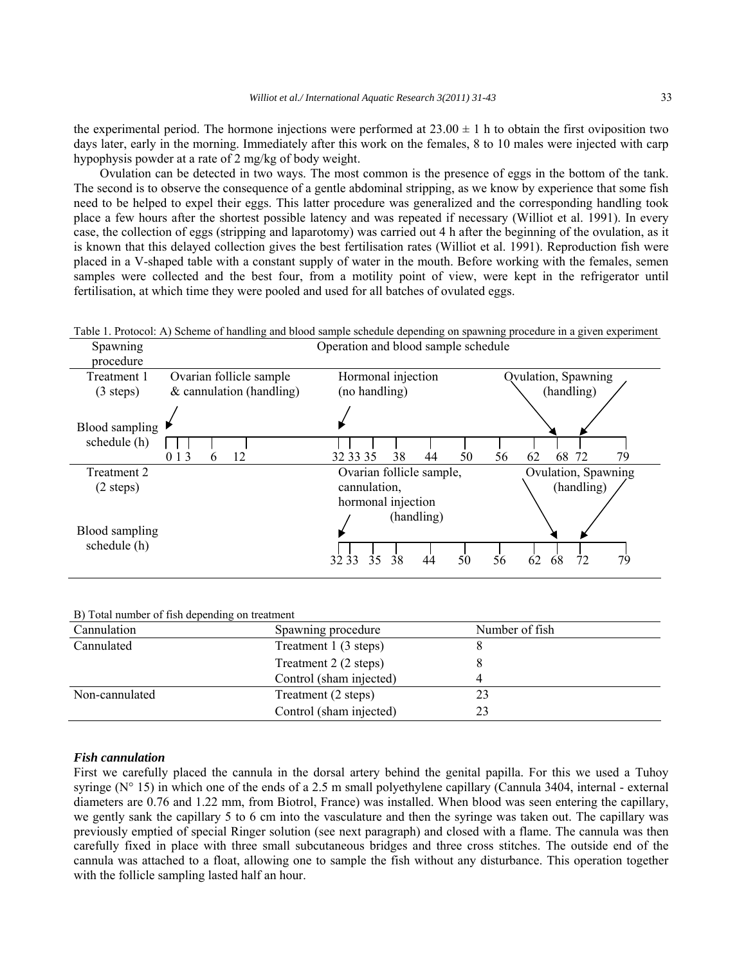the experimental period. The hormone injections were performed at  $23.00 \pm 1$  h to obtain the first oviposition two days later, early in the morning. Immediately after this work on the females, 8 to 10 males were injected with carp hypophysis powder at a rate of 2 mg/kg of body weight.

 Ovulation can be detected in two ways. The most common is the presence of eggs in the bottom of the tank. The second is to observe the consequence of a gentle abdominal stripping, as we know by experience that some fish need to be helped to expel their eggs. This latter procedure was generalized and the corresponding handling took place a few hours after the shortest possible latency and was repeated if necessary (Williot et al. 1991). In every case, the collection of eggs (stripping and laparotomy) was carried out 4 h after the beginning of the ovulation, as it is known that this delayed collection gives the best fertilisation rates (Williot et al. 1991). Reproduction fish were placed in a V-shaped table with a constant supply of water in the mouth. Before working with the females, semen samples were collected and the best four, from a motility point of view, were kept in the refrigerator until fertilisation, at which time they were pooled and used for all batches of ovulated eggs.

| Table 1. Protocol: A) Scheme of handling and blood sample schedule depending on spawning procedure in a given experiment |  |  |  |  |
|--------------------------------------------------------------------------------------------------------------------------|--|--|--|--|
|                                                                                                                          |  |  |  |  |
|                                                                                                                          |  |  |  |  |

| Spawning<br>procedure                  | Operation and blood sample schedule |                                                                  |                            |  |  |
|----------------------------------------|-------------------------------------|------------------------------------------------------------------|----------------------------|--|--|
| Treatment 1                            | Ovarian follicle sample             | Hormonal injection                                               | Qvulation, Spawning        |  |  |
| $(3 \text{ steps})$                    | $&$ cannulation (handling)          | (no handling)                                                    | (handling)                 |  |  |
| Blood sampling $\vert$<br>schedule (h) |                                     |                                                                  |                            |  |  |
|                                        | 12<br>0 1 3<br>6                    | 32 33 35<br>38<br>50<br>44                                       | 79<br>68<br>56<br>72<br>62 |  |  |
| Treatment 2                            |                                     | Ovarian follicle sample,                                         | Ovulation, Spawning        |  |  |
| $(2 \text{ steps})$                    |                                     | cannulation,                                                     | (handling)                 |  |  |
| Blood sampling<br>schedule (h)         |                                     | hormonal injection<br>(handling)<br>35<br>38<br>50<br>3233<br>44 | 79<br>56<br>62<br>68<br>72 |  |  |

B) Total number of fish depending on treatment

| Cannulation    | Spawning procedure      | Number of fish |
|----------------|-------------------------|----------------|
| Cannulated     | Treatment 1 (3 steps)   |                |
|                | Treatment 2 (2 steps)   |                |
|                | Control (sham injected) |                |
| Non-cannulated | Treatment (2 steps)     | 23             |
|                | Control (sham injected) | 23             |

#### *Fish cannulation*

First we carefully placed the cannula in the dorsal artery behind the genital papilla. For this we used a Tuhoy syringe ( $N^{\circ}$  15) in which one of the ends of a 2.5 m small polyethylene capillary (Cannula 3404, internal - external diameters are 0.76 and 1.22 mm, from Biotrol, France) was installed. When blood was seen entering the capillary, we gently sank the capillary 5 to 6 cm into the vasculature and then the syringe was taken out. The capillary was previously emptied of special Ringer solution (see next paragraph) and closed with a flame. The cannula was then carefully fixed in place with three small subcutaneous bridges and three cross stitches. The outside end of the cannula was attached to a float, allowing one to sample the fish without any disturbance. This operation together with the follicle sampling lasted half an hour.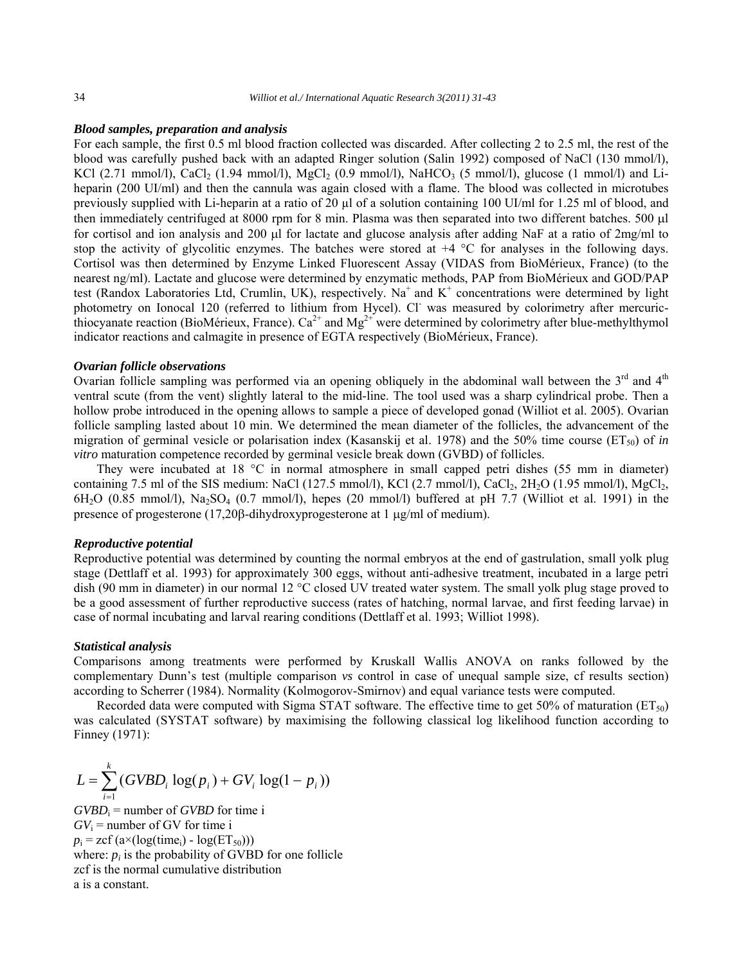#### *Blood samples, preparation and analysis*

For each sample, the first 0.5 ml blood fraction collected was discarded. After collecting 2 to 2.5 ml, the rest of the blood was carefully pushed back with an adapted Ringer solution (Salin 1992) composed of NaCl (130 mmol/l), KCl (2.71 mmol/l), CaCl<sub>2</sub> (1.94 mmol/l), MgCl<sub>2</sub> (0.9 mmol/l), NaHCO<sub>3</sub> (5 mmol/l), glucose (1 mmol/l) and Liheparin (200 UI/ml) and then the cannula was again closed with a flame. The blood was collected in microtubes previously supplied with Li-heparin at a ratio of 20 µl of a solution containing 100 UI/ml for 1.25 ml of blood, and then immediately centrifuged at 8000 rpm for 8 min. Plasma was then separated into two different batches. 500 µl for cortisol and ion analysis and 200  $\mu$ l for lactate and glucose analysis after adding NaF at a ratio of 2mg/ml to stop the activity of glycolitic enzymes. The batches were stored at  $+4$  °C for analyses in the following days. Cortisol was then determined by Enzyme Linked Fluorescent Assay (VIDAS from BioMérieux, France) (to the nearest ng/ml). Lactate and glucose were determined by enzymatic methods, PAP from BioMérieux and GOD/PAP test (Randox Laboratories Ltd, Crumlin, UK), respectively. Na<sup>+</sup> and K<sup>+</sup> concentrations were determined by light photometry on Ionocal 120 (referred to lithium from Hycel). Cl<sup>-</sup> was measured by colorimetry after mercuricthiocyanate reaction (BioMérieux, France).  $Ca^{2+}$  and  $Mg^{2+}$  were determined by colorimetry after blue-methylthymol indicator reactions and calmagite in presence of EGTA respectively (BioMérieux, France).

#### *Ovarian follicle observations*

Ovarian follicle sampling was performed via an opening obliquely in the abdominal wall between the  $3<sup>rd</sup>$  and  $4<sup>th</sup>$ ventral scute (from the vent) slightly lateral to the mid-line. The tool used was a sharp cylindrical probe. Then a hollow probe introduced in the opening allows to sample a piece of developed gonad (Williot et al. 2005). Ovarian follicle sampling lasted about 10 min. We determined the mean diameter of the follicles, the advancement of the migration of germinal vesicle or polarisation index (Kasanskij et al. 1978) and the 50% time course  $(ET_{50})$  of *in vitro* maturation competence recorded by germinal vesicle break down (GVBD) of follicles.

They were incubated at 18 °C in normal atmosphere in small capped petri dishes (55 mm in diameter) containing 7.5 ml of the SIS medium: NaCl (127.5 mmol/l), KCl (2.7 mmol/l), CaCl<sub>2</sub>, 2H<sub>2</sub>O (1.95 mmol/l), MgCl<sub>2</sub>,  $6H<sub>2</sub>O$  (0.85 mmol/l), Na<sub>2</sub>SO<sub>4</sub> (0.7 mmol/l), hepes (20 mmol/l) buffered at pH 7.7 (Williot et al. 1991) in the presence of progesterone (17,20 $\beta$ -dihydroxyprogesterone at 1  $\mu$ g/ml of medium).

#### *Reproductive potential*

Reproductive potential was determined by counting the normal embryos at the end of gastrulation, small yolk plug stage (Dettlaff et al. 1993) for approximately 300 eggs, without anti-adhesive treatment, incubated in a large petri dish (90 mm in diameter) in our normal 12 °C closed UV treated water system. The small yolk plug stage proved to be a good assessment of further reproductive success (rates of hatching, normal larvae, and first feeding larvae) in case of normal incubating and larval rearing conditions (Dettlaff et al. 1993; Williot 1998).

#### *Statistical analysis*

Comparisons among treatments were performed by Kruskall Wallis ANOVA on ranks followed by the complementary Dunn's test (multiple comparison *vs* control in case of unequal sample size, cf results section) according to Scherrer (1984). Normality (Kolmogorov-Smirnov) and equal variance tests were computed.

Recorded data were computed with Sigma STAT software. The effective time to get 50% of maturation ( $ET_{50}$ ) was calculated (SYSTAT software) by maximising the following classical log likelihood function according to Finney (1971):

$$
L = \sum_{i=1}^{k} (GVBD_i \log(p_i) + GV_i \log(1 - p_i))
$$

 $GVBD_i$  = number of *GVBD* for time i  $GV_i$  = number of GV for time i  $p_i = \text{zcf}(a \times (log(time_i) - log(ET_{50})))$ where:  $p_i$  is the probability of GVBD for one follicle zcf is the normal cumulative distribution a is a constant.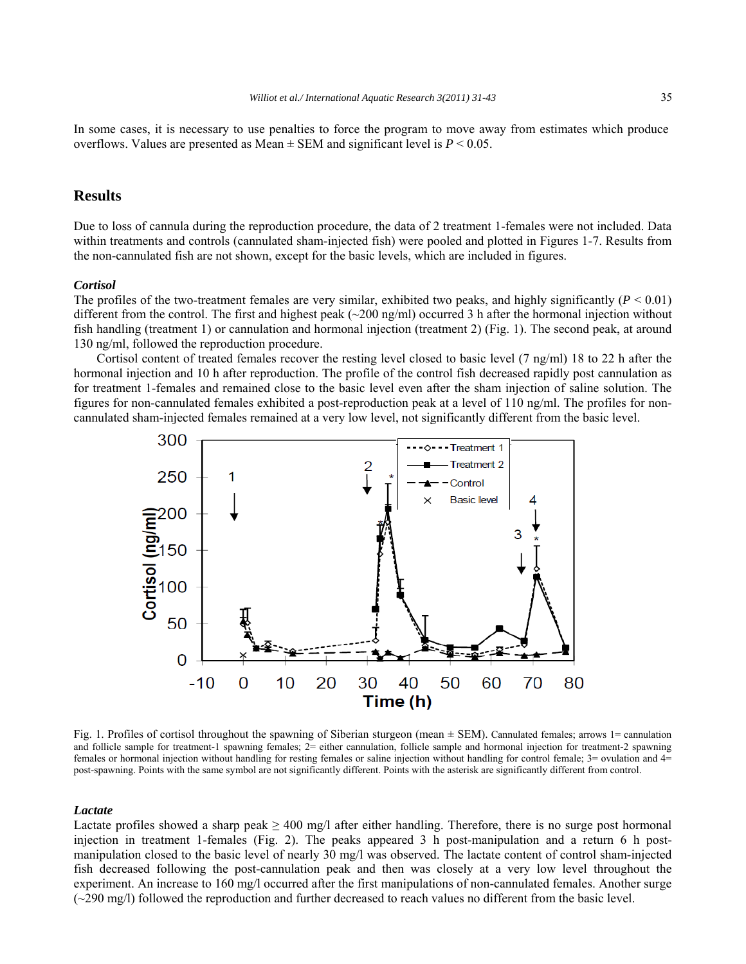In some cases, it is necessary to use penalties to force the program to move away from estimates which produce overflows. Values are presented as Mean  $\pm$  SEM and significant level is  $P \le 0.05$ .

# **Results**

Due to loss of cannula during the reproduction procedure, the data of 2 treatment 1-females were not included. Data within treatments and controls (cannulated sham-injected fish) were pooled and plotted in Figures 1-7. Results from the non-cannulated fish are not shown, except for the basic levels, which are included in figures.

#### *Cortisol*

The profiles of the two-treatment females are very similar, exhibited two peaks, and highly significantly  $(P < 0.01)$ different from the control. The first and highest peak  $\left(\sim 200 \text{ ng/ml}\right)$  occurred 3 h after the hormonal injection without fish handling (treatment 1) or cannulation and hormonal injection (treatment 2) (Fig. 1). The second peak, at around 130 ng/ml, followed the reproduction procedure.

Cortisol content of treated females recover the resting level closed to basic level (7 ng/ml) 18 to 22 h after the hormonal injection and 10 h after reproduction. The profile of the control fish decreased rapidly post cannulation as for treatment 1-females and remained close to the basic level even after the sham injection of saline solution. The figures for non-cannulated females exhibited a post-reproduction peak at a level of 110 ng/ml. The profiles for noncannulated sham-injected females remained at a very low level, not significantly different from the basic level.



Fig. 1. Profiles of cortisol throughout the spawning of Siberian sturgeon (mean ± SEM). Cannulated females; arrows 1= cannulation and follicle sample for treatment-1 spawning females; 2= either cannulation, follicle sample and hormonal injection for treatment-2 spawning females or hormonal injection without handling for resting females or saline injection without handling for control female; 3= ovulation and 4= post-spawning. Points with the same symbol are not significantly different. Points with the asterisk are significantly different from control.

#### *Lactate*

Lactate profiles showed a sharp peak  $\geq 400$  mg/l after either handling. Therefore, there is no surge post hormonal injection in treatment 1-females (Fig. 2). The peaks appeared 3 h post-manipulation and a return 6 h postmanipulation closed to the basic level of nearly 30 mg/l was observed. The lactate content of control sham-injected fish decreased following the post-cannulation peak and then was closely at a very low level throughout the experiment. An increase to 160 mg/l occurred after the first manipulations of non-cannulated females. Another surge (~290 mg/l) followed the reproduction and further decreased to reach values no different from the basic level.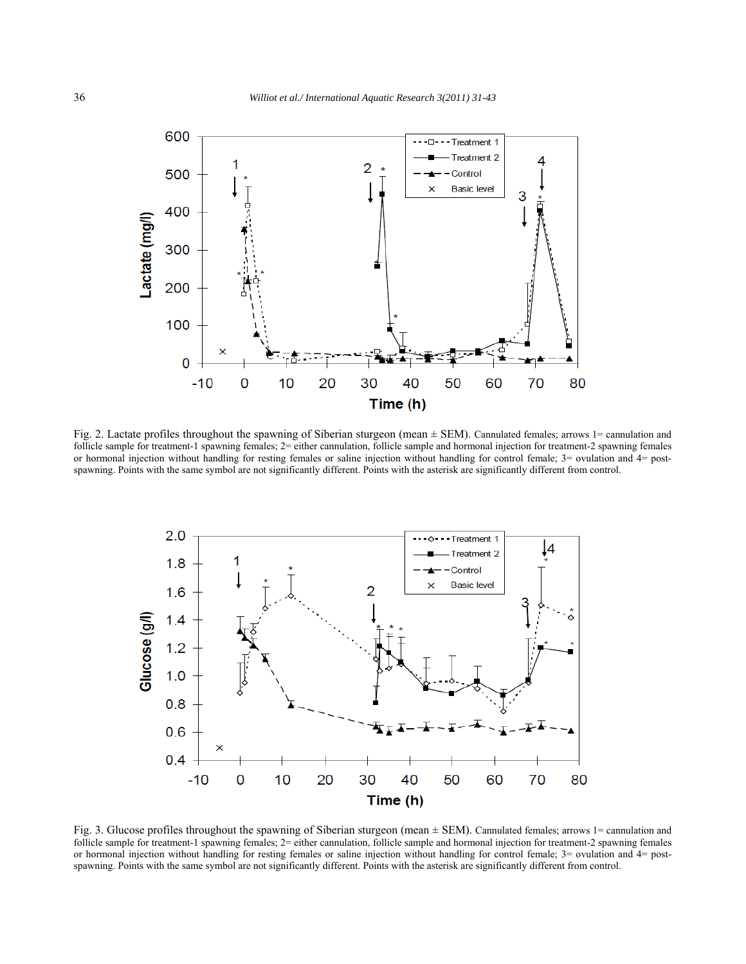

Fig. 2. Lactate profiles throughout the spawning of Siberian sturgeon (mean  $\pm$  SEM). Cannulated females; arrows 1= cannulation and follicle sample for treatment-1 spawning females;  $2$ = either cannulation, follicle sample and hormonal injection for treatment-2 spawning females or hormonal injection without handling for resting females or saline injection without handling for control female; 3= ovulation and 4= postspawning. Points with the same symbol are not significantly different. Points with the asterisk are significantly different from control.



Fig. 3. Glucose profiles throughout the spawning of Siberian sturgeon (mean ± SEM). Cannulated females; arrows 1= cannulation and follicle sample for treatment-1 spawning females; 2= either cannulation, follicle sample and hormonal injection for treatment-2 spawning females or hormonal injection without handling for resting females or saline injection without handling for control female; 3= ovulation and 4= postspawning. Points with the same symbol are not significantly different. Points with the asterisk are significantly different from control.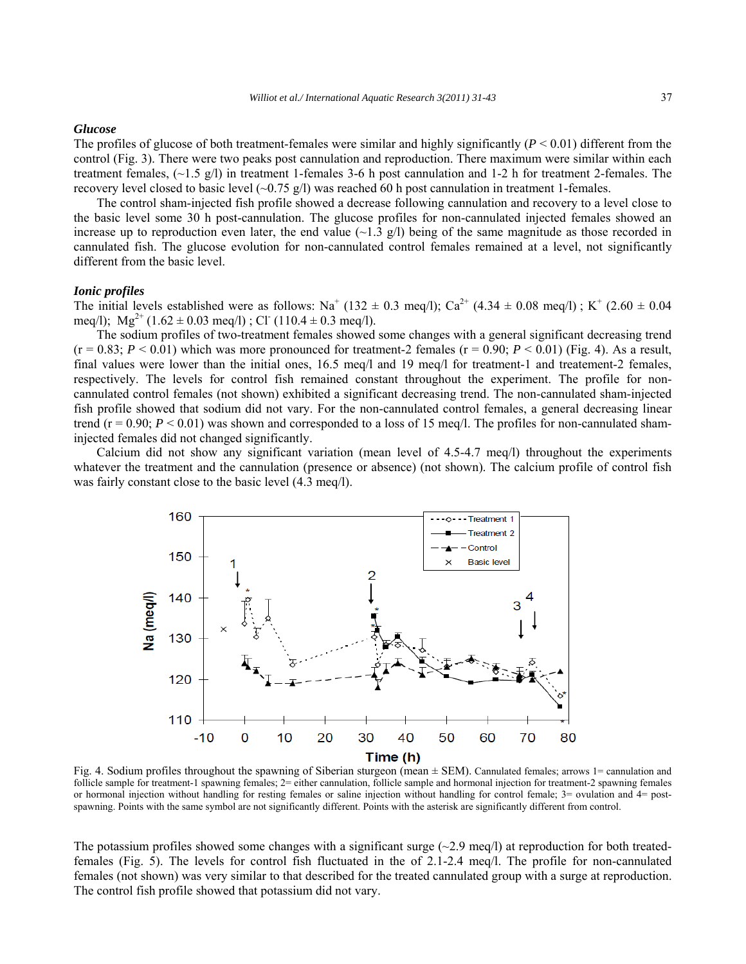#### *Glucose*

The profiles of glucose of both treatment-females were similar and highly significantly  $(P < 0.01)$  different from the control (Fig. 3). There were two peaks post cannulation and reproduction. There maximum were similar within each treatment females,  $(\sim 1.5 \text{ g/l})$  in treatment 1-females 3-6 h post cannulation and 1-2 h for treatment 2-females. The recovery level closed to basic level  $(-0.75 \text{ g/l})$  was reached 60 h post cannulation in treatment 1-females.

The control sham-injected fish profile showed a decrease following cannulation and recovery to a level close to the basic level some 30 h post-cannulation. The glucose profiles for non-cannulated injected females showed an increase up to reproduction even later, the end value  $(\sim 1.3 \text{ g/l})$  being of the same magnitude as those recorded in cannulated fish. The glucose evolution for non-cannulated control females remained at a level, not significantly different from the basic level.

#### *Ionic profiles*

The initial levels established were as follows: Na<sup>+</sup> (132  $\pm$  0.3 meq/l); Ca<sup>2+</sup> (4.34  $\pm$  0.08 meq/l); K<sup>+</sup> (2.60  $\pm$  0.04 meq/l);  $Mg^{2+}$  (1.62  $\pm$  0.03 meq/l); Cl<sup>-</sup> (110.4  $\pm$  0.3 meq/l).

The sodium profiles of two-treatment females showed some changes with a general significant decreasing trend  $(r = 0.83; P \le 0.01)$  which was more pronounced for treatment-2 females  $(r = 0.90; P \le 0.01)$  (Fig. 4). As a result, final values were lower than the initial ones, 16.5 meq/l and 19 meq/l for treatment-1 and treatement-2 females, respectively. The levels for control fish remained constant throughout the experiment. The profile for noncannulated control females (not shown) exhibited a significant decreasing trend. The non-cannulated sham-injected fish profile showed that sodium did not vary. For the non-cannulated control females, a general decreasing linear trend ( $r = 0.90$ ;  $P \le 0.01$ ) was shown and corresponded to a loss of 15 meq/l. The profiles for non-cannulated shaminjected females did not changed significantly.

Calcium did not show any significant variation (mean level of 4.5-4.7 meq/l) throughout the experiments whatever the treatment and the cannulation (presence or absence) (not shown). The calcium profile of control fish was fairly constant close to the basic level (4.3 meq/l).



Fig. 4. Sodium profiles throughout the spawning of Siberian sturgeon (mean ± SEM). Cannulated females; arrows 1= cannulation and follicle sample for treatment-1 spawning females; 2= either cannulation, follicle sample and hormonal injection for treatment-2 spawning females or hormonal injection without handling for resting females or saline injection without handling for control female; 3= ovulation and 4= postspawning. Points with the same symbol are not significantly different. Points with the asterisk are significantly different from control.

The potassium profiles showed some changes with a significant surge  $(\sim 2.9 \text{ meq/l})$  at reproduction for both treatedfemales (Fig. 5). The levels for control fish fluctuated in the of 2.1-2.4 meq/l. The profile for non-cannulated females (not shown) was very similar to that described for the treated cannulated group with a surge at reproduction. The control fish profile showed that potassium did not vary.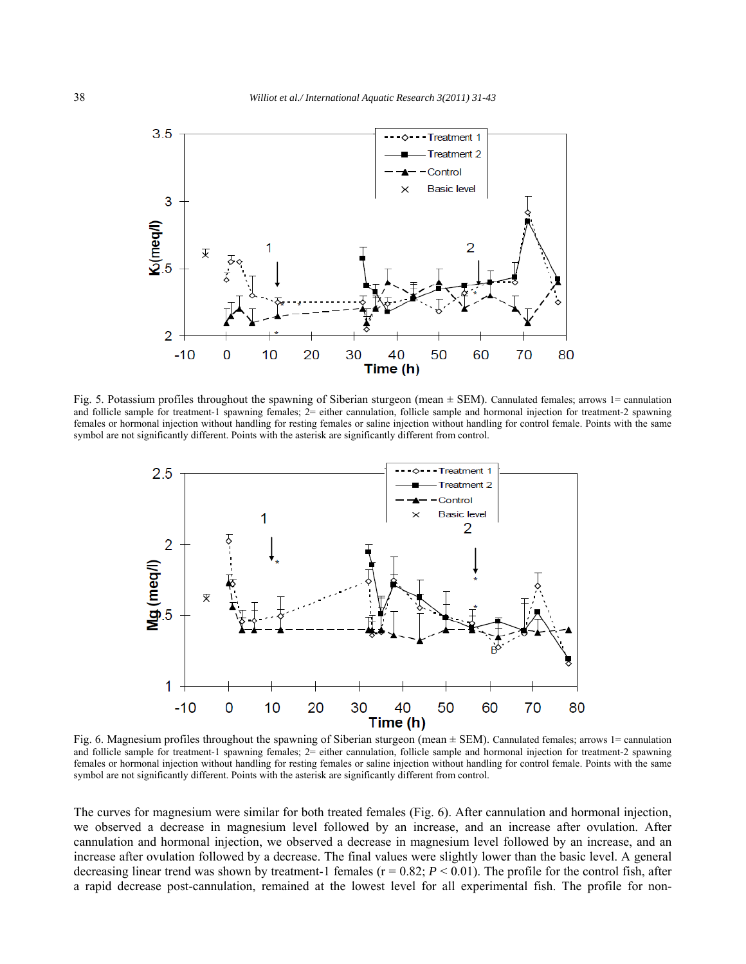

Fig. 5. Potassium profiles throughout the spawning of Siberian sturgeon (mean ± SEM). Cannulated females; arrows 1= cannulation and follicle sample for treatment-1 spawning females;  $2$ = either cannulation, follicle sample and hormonal injection for treatment-2 spawning females or hormonal injection without handling for resting females or saline injection without handling for control female. Points with the same symbol are not significantly different. Points with the asterisk are significantly different from control.



Fig. 6. Magnesium profiles throughout the spawning of Siberian sturgeon (mean ± SEM). Cannulated females; arrows 1= cannulation and follicle sample for treatment-1 spawning females; 2= either cannulation, follicle sample and hormonal injection for treatment-2 spawning females or hormonal injection without handling for resting females or saline injection without handling for control female. Points with the same symbol are not significantly different. Points with the asterisk are significantly different from control.

The curves for magnesium were similar for both treated females (Fig. 6). After cannulation and hormonal injection, we observed a decrease in magnesium level followed by an increase, and an increase after ovulation. After cannulation and hormonal injection, we observed a decrease in magnesium level followed by an increase, and an increase after ovulation followed by a decrease. The final values were slightly lower than the basic level. A general decreasing linear trend was shown by treatment-1 females ( $r = 0.82$ ;  $P < 0.01$ ). The profile for the control fish, after a rapid decrease post-cannulation, remained at the lowest level for all experimental fish. The profile for non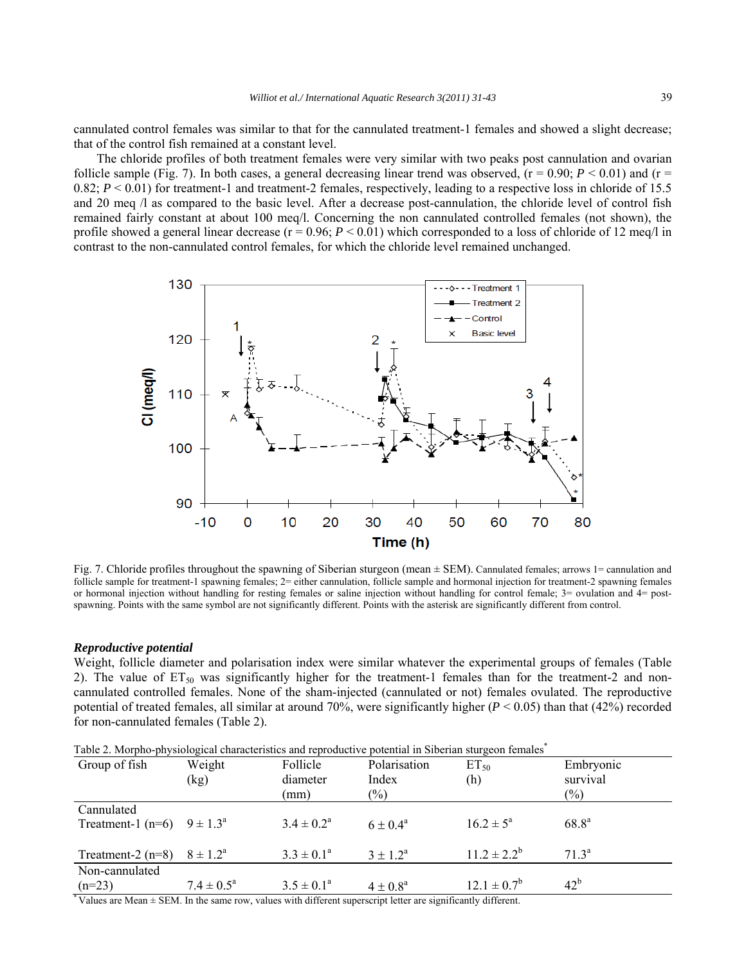cannulated control females was similar to that for the cannulated treatment-1 females and showed a slight decrease; that of the control fish remained at a constant level.

The chloride profiles of both treatment females were very similar with two peaks post cannulation and ovarian follicle sample (Fig. 7). In both cases, a general decreasing linear trend was observed,  $(r = 0.90; P < 0.01)$  and  $(r = 0.90; P < 0.01)$ 0.82;  $P < 0.01$ ) for treatment-1 and treatment-2 females, respectively, leading to a respective loss in chloride of 15.5 and 20 meq /l as compared to the basic level. After a decrease post-cannulation, the chloride level of control fish remained fairly constant at about 100 meq/l. Concerning the non cannulated controlled females (not shown), the profile showed a general linear decrease  $(r = 0.96; P < 0.01)$  which corresponded to a loss of chloride of 12 meq/l in contrast to the non-cannulated control females, for which the chloride level remained unchanged.



Fig. 7. Chloride profiles throughout the spawning of Siberian sturgeon (mean ± SEM). Cannulated females; arrows 1= cannulation and follicle sample for treatment-1 spawning females;  $2 =$  either cannulation, follicle sample and hormonal injection for treatment-2 spawning females or hormonal injection without handling for resting females or saline injection without handling for control female; 3= ovulation and 4= postspawning. Points with the same symbol are not significantly different. Points with the asterisk are significantly different from control.

#### *Reproductive potential*

Weight, follicle diameter and polarisation index were similar whatever the experimental groups of females (Table 2). The value of  $ET_{50}$  was significantly higher for the treatment-1 females than for the treatment-2 and noncannulated controlled females. None of the sham-injected (cannulated or not) females ovulated. The reproductive potential of treated females, all similar at around 70%, were significantly higher  $(P < 0.05)$  than that (42%) recorded for non-cannulated females (Table 2).

| Table 2. Morpho-physiological characteristics and reproductive potential in Siberian sturgeon females <sup>†</sup> |                          |                          |              |                      |                   |  |
|--------------------------------------------------------------------------------------------------------------------|--------------------------|--------------------------|--------------|----------------------|-------------------|--|
| Group of fish                                                                                                      | Weight                   | Follicle                 | Polarisation | $ET_{50}$            | Embryonic         |  |
|                                                                                                                    | (kg)                     | diameter                 | Index        | (h)                  | survival          |  |
|                                                                                                                    |                          | (mm)                     | $(\%)$       |                      | $(\%)$            |  |
| Cannulated                                                                                                         |                          |                          |              |                      |                   |  |
| Treatment-1 (n=6) $9 \pm 1.3^{\circ}$                                                                              |                          | $3.4 \pm 0.2^{\text{a}}$ | $6 + 0.4^a$  | $16.2 \pm 5^{\circ}$ | $68.8^{a}$        |  |
|                                                                                                                    |                          |                          |              |                      |                   |  |
| Treatment-2 $(n=8)$                                                                                                | $8 \pm 1.2^{\circ}$      | $3.3 \pm 0.1^{\circ}$    | $3 + 12^a$   | $11.2 \pm 2.2^b$     | 71.3 <sup>a</sup> |  |
| Non-cannulated                                                                                                     |                          |                          |              |                      |                   |  |
| $(n=23)$                                                                                                           | $7.4 \pm 0.5^{\text{a}}$ | $3.5 \pm 0.1^{\circ}$    | $4 + 0.8^a$  | $12.1 \pm 0.7^b$     | $42^{\rm b}$      |  |
| $\frac{1}{2} \mathbf{V}_{1}$                                                                                       |                          |                          |              |                      |                   |  |

Values are Mean  $\pm$  SEM. In the same row, values with different superscript letter are significantly different.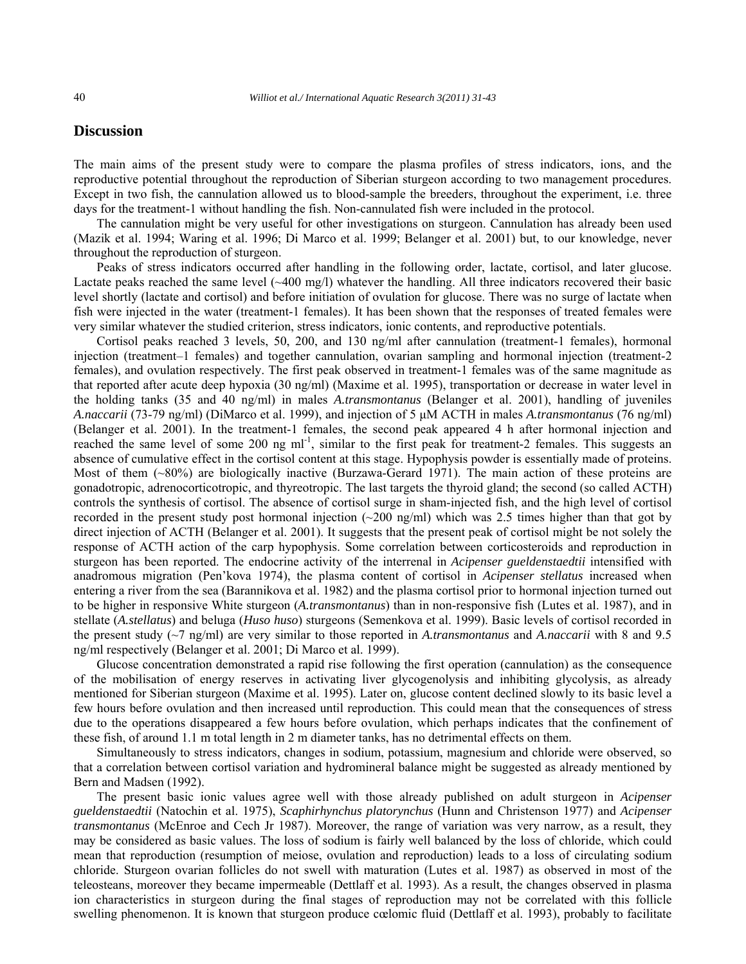# **Discussion**

The main aims of the present study were to compare the plasma profiles of stress indicators, ions, and the reproductive potential throughout the reproduction of Siberian sturgeon according to two management procedures. Except in two fish, the cannulation allowed us to blood-sample the breeders, throughout the experiment, i.e. three days for the treatment-1 without handling the fish. Non-cannulated fish were included in the protocol.

The cannulation might be very useful for other investigations on sturgeon. Cannulation has already been used (Mazik et al. 1994; Waring et al. 1996; Di Marco et al. 1999; Belanger et al. 2001) but, to our knowledge, never throughout the reproduction of sturgeon.

Peaks of stress indicators occurred after handling in the following order, lactate, cortisol, and later glucose. Lactate peaks reached the same level (~400 mg/l) whatever the handling. All three indicators recovered their basic level shortly (lactate and cortisol) and before initiation of ovulation for glucose. There was no surge of lactate when fish were injected in the water (treatment-1 females). It has been shown that the responses of treated females were very similar whatever the studied criterion, stress indicators, ionic contents, and reproductive potentials.

Cortisol peaks reached 3 levels, 50, 200, and 130 ng/ml after cannulation (treatment-1 females), hormonal injection (treatment–1 females) and together cannulation, ovarian sampling and hormonal injection (treatment-2 females), and ovulation respectively. The first peak observed in treatment-1 females was of the same magnitude as that reported after acute deep hypoxia (30 ng/ml) (Maxime et al. 1995), transportation or decrease in water level in the holding tanks (35 and 40 ng/ml) in males *A.transmontanus* (Belanger et al. 2001), handling of juveniles *A.naccarii* (73-79 ng/ml) (DiMarco et al. 1999), and injection of 5 μM ACTH in males *A.transmontanus* (76 ng/ml) (Belanger et al. 2001). In the treatment-1 females, the second peak appeared 4 h after hormonal injection and reached the same level of some 200 ng ml<sup>-1</sup>, similar to the first peak for treatment-2 females. This suggests an absence of cumulative effect in the cortisol content at this stage. Hypophysis powder is essentially made of proteins. Most of them (~80%) are biologically inactive (Burzawa-Gerard 1971). The main action of these proteins are gonadotropic, adrenocorticotropic, and thyreotropic. The last targets the thyroid gland; the second (so called ACTH) controls the synthesis of cortisol. The absence of cortisol surge in sham-injected fish, and the high level of cortisol recorded in the present study post hormonal injection  $\sim$ 200 ng/ml) which was 2.5 times higher than that got by direct injection of ACTH (Belanger et al. 2001). It suggests that the present peak of cortisol might be not solely the response of ACTH action of the carp hypophysis. Some correlation between corticosteroids and reproduction in sturgeon has been reported. The endocrine activity of the interrenal in *Acipenser gueldenstaedtii* intensified with anadromous migration (Pen'kova 1974), the plasma content of cortisol in *Acipenser stellatus* increased when entering a river from the sea (Barannikova et al. 1982) and the plasma cortisol prior to hormonal injection turned out to be higher in responsive White sturgeon (*A.transmontanus*) than in non-responsive fish (Lutes et al. 1987), and in stellate (*A.stellatus*) and beluga (*Huso huso*) sturgeons (Semenkova et al. 1999). Basic levels of cortisol recorded in the present study (~7 ng/ml) are very similar to those reported in *A.transmontanus* and *A.naccarii* with 8 and 9.5 ng/ml respectively (Belanger et al. 2001; Di Marco et al. 1999).

Glucose concentration demonstrated a rapid rise following the first operation (cannulation) as the consequence of the mobilisation of energy reserves in activating liver glycogenolysis and inhibiting glycolysis, as already mentioned for Siberian sturgeon (Maxime et al. 1995). Later on, glucose content declined slowly to its basic level a few hours before ovulation and then increased until reproduction. This could mean that the consequences of stress due to the operations disappeared a few hours before ovulation, which perhaps indicates that the confinement of these fish, of around 1.1 m total length in 2 m diameter tanks, has no detrimental effects on them.

Simultaneously to stress indicators, changes in sodium, potassium, magnesium and chloride were observed, so that a correlation between cortisol variation and hydromineral balance might be suggested as already mentioned by Bern and Madsen (1992).

The present basic ionic values agree well with those already published on adult sturgeon in *Acipenser gueldenstaedtii* (Natochin et al. 1975), *Scaphirhynchus platorynchus* (Hunn and Christenson 1977) and *Acipenser transmontanus* (McEnroe and Cech Jr 1987). Moreover, the range of variation was very narrow, as a result, they may be considered as basic values. The loss of sodium is fairly well balanced by the loss of chloride, which could mean that reproduction (resumption of meiose, ovulation and reproduction) leads to a loss of circulating sodium chloride. Sturgeon ovarian follicles do not swell with maturation (Lutes et al. 1987) as observed in most of the teleosteans, moreover they became impermeable (Dettlaff et al. 1993). As a result, the changes observed in plasma ion characteristics in sturgeon during the final stages of reproduction may not be correlated with this follicle swelling phenomenon. It is known that sturgeon produce cœlomic fluid (Dettlaff et al. 1993), probably to facilitate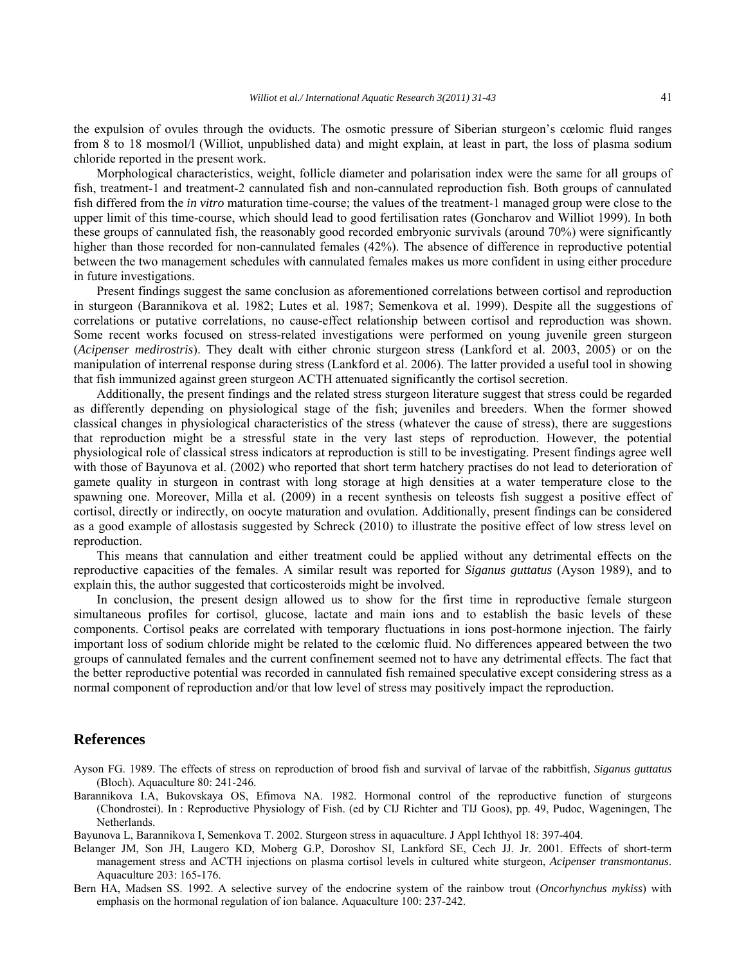the expulsion of ovules through the oviducts. The osmotic pressure of Siberian sturgeon's cœlomic fluid ranges from 8 to 18 mosmol/l (Williot, unpublished data) and might explain, at least in part, the loss of plasma sodium chloride reported in the present work.

Morphological characteristics, weight, follicle diameter and polarisation index were the same for all groups of fish, treatment-1 and treatment-2 cannulated fish and non-cannulated reproduction fish. Both groups of cannulated fish differed from the *in vitro* maturation time-course; the values of the treatment-1 managed group were close to the upper limit of this time-course, which should lead to good fertilisation rates (Goncharov and Williot 1999). In both these groups of cannulated fish, the reasonably good recorded embryonic survivals (around 70%) were significantly higher than those recorded for non-cannulated females (42%). The absence of difference in reproductive potential between the two management schedules with cannulated females makes us more confident in using either procedure in future investigations.

Present findings suggest the same conclusion as aforementioned correlations between cortisol and reproduction in sturgeon (Barannikova et al. 1982; Lutes et al. 1987; Semenkova et al. 1999). Despite all the suggestions of correlations or putative correlations, no cause-effect relationship between cortisol and reproduction was shown. Some recent works focused on stress-related investigations were performed on young juvenile green sturgeon (*Acipenser medirostris*). They dealt with either chronic sturgeon stress (Lankford et al. 2003, 2005) or on the manipulation of interrenal response during stress (Lankford et al. 2006). The latter provided a useful tool in showing that fish immunized against green sturgeon ACTH attenuated significantly the cortisol secretion.

Additionally, the present findings and the related stress sturgeon literature suggest that stress could be regarded as differently depending on physiological stage of the fish; juveniles and breeders. When the former showed classical changes in physiological characteristics of the stress (whatever the cause of stress), there are suggestions that reproduction might be a stressful state in the very last steps of reproduction. However, the potential physiological role of classical stress indicators at reproduction is still to be investigating. Present findings agree well with those of Bayunova et al. (2002) who reported that short term hatchery practises do not lead to deterioration of gamete quality in sturgeon in contrast with long storage at high densities at a water temperature close to the spawning one. Moreover, Milla et al. (2009) in a recent synthesis on teleosts fish suggest a positive effect of cortisol, directly or indirectly, on oocyte maturation and ovulation. Additionally, present findings can be considered as a good example of allostasis suggested by Schreck (2010) to illustrate the positive effect of low stress level on reproduction.

This means that cannulation and either treatment could be applied without any detrimental effects on the reproductive capacities of the females. A similar result was reported for *Siganus guttatus* (Ayson 1989), and to explain this, the author suggested that corticosteroids might be involved.

In conclusion, the present design allowed us to show for the first time in reproductive female sturgeon simultaneous profiles for cortisol, glucose, lactate and main ions and to establish the basic levels of these components. Cortisol peaks are correlated with temporary fluctuations in ions post-hormone injection. The fairly important loss of sodium chloride might be related to the cœlomic fluid. No differences appeared between the two groups of cannulated females and the current confinement seemed not to have any detrimental effects. The fact that the better reproductive potential was recorded in cannulated fish remained speculative except considering stress as a normal component of reproduction and/or that low level of stress may positively impact the reproduction.

## **References**

- Ayson FG. 1989. The effects of stress on reproduction of brood fish and survival of larvae of the rabbitfish, *Siganus guttatus* (Bloch). Aquaculture 80: 241-246.
- Barannikova I.A, Bukovskaya OS, Efimova NA. 1982. Hormonal control of the reproductive function of sturgeons (Chondrostei). In : Reproductive Physiology of Fish. (ed by CIJ Richter and TIJ Goos), pp. 49, Pudoc, Wageningen, The Netherlands.
- Bayunova L, Barannikova I, Semenkova T. 2002. Sturgeon stress in aquaculture. J Appl Ichthyol 18: 397-404.
- Belanger JM, Son JH, Laugero KD, Moberg G.P, Doroshov SI, Lankford SE, Cech JJ. Jr. 2001. Effects of short-term management stress and ACTH injections on plasma cortisol levels in cultured white sturgeon, *Acipenser transmontanus*. Aquaculture 203: 165-176.
- Bern HA, Madsen SS. 1992. A selective survey of the endocrine system of the rainbow trout (*Oncorhynchus mykiss*) with emphasis on the hormonal regulation of ion balance. Aquaculture 100: 237-242.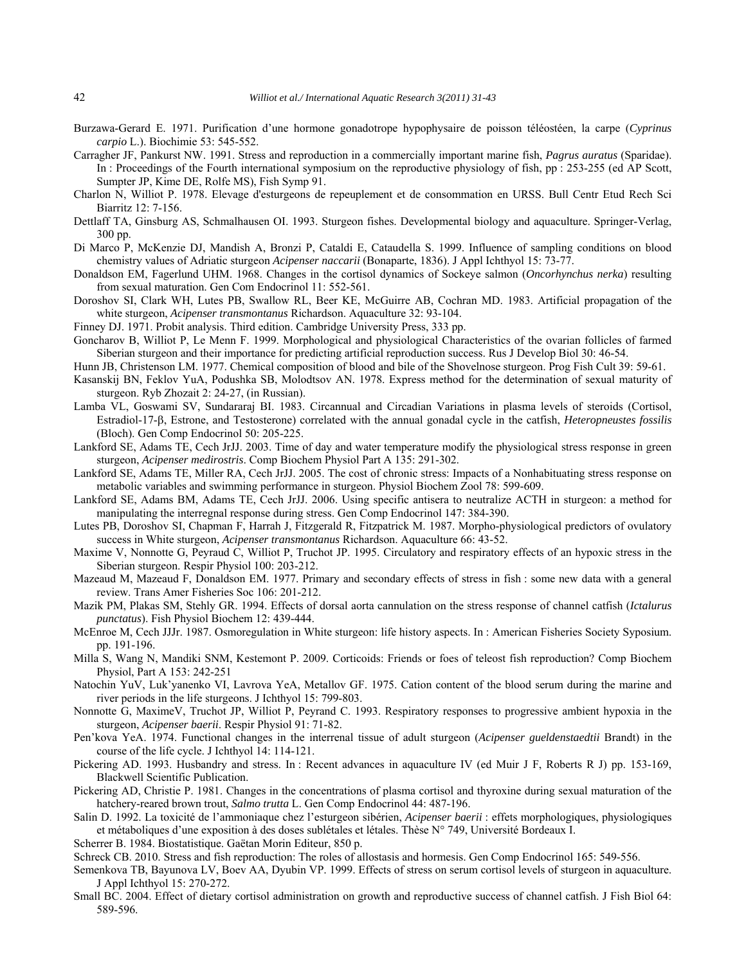- Burzawa-Gerard E. 1971. Purification d'une hormone gonadotrope hypophysaire de poisson téléostéen, la carpe (*Cyprinus carpio* L.). Biochimie 53: 545-552.
- Carragher JF, Pankurst NW. 1991. Stress and reproduction in a commercially important marine fish, *Pagrus auratus* (Sparidae). In : Proceedings of the Fourth international symposium on the reproductive physiology of fish, pp : 253-255 (ed AP Scott, Sumpter JP, Kime DE, Rolfe MS), Fish Symp 91.
- Charlon N, Williot P. 1978. Elevage d'esturgeons de repeuplement et de consommation en URSS. Bull Centr Etud Rech Sci Biarritz 12: 7-156.
- Dettlaff TA, Ginsburg AS, Schmalhausen OI. 1993. Sturgeon fishes. Developmental biology and aquaculture. Springer-Verlag, 300 pp.
- Di Marco P, McKenzie DJ, Mandish A, Bronzi P, Cataldi E, Cataudella S. 1999. Influence of sampling conditions on blood chemistry values of Adriatic sturgeon *Acipenser naccarii* (Bonaparte, 1836). J Appl Ichthyol 15: 73-77.
- Donaldson EM, Fagerlund UHM. 1968. Changes in the cortisol dynamics of Sockeye salmon (*Oncorhynchus nerka*) resulting from sexual maturation. Gen Com Endocrinol 11: 552-561.
- Doroshov SI, Clark WH, Lutes PB, Swallow RL, Beer KE, McGuirre AB, Cochran MD. 1983. Artificial propagation of the white sturgeon, *Acipenser transmontanus* Richardson. Aquaculture 32: 93-104.
- Finney DJ. 1971. Probit analysis. Third edition. Cambridge University Press, 333 pp.
- Goncharov B, Williot P, Le Menn F. 1999. Morphological and physiological Characteristics of the ovarian follicles of farmed Siberian sturgeon and their importance for predicting artificial reproduction success. Rus J Develop Biol 30: 46-54.
- Hunn JB, Christenson LM. 1977. Chemical composition of blood and bile of the Shovelnose sturgeon. Prog Fish Cult 39: 59-61.
- Kasanskij BN, Feklov YuA, Podushka SB, Molodtsov AN. 1978. Express method for the determination of sexual maturity of sturgeon. Ryb Zhozait 2: 24-27, (in Russian).
- Lamba VL, Goswami SV, Sundararaj BI. 1983. Circannual and Circadian Variations in plasma levels of steroids (Cortisol, Estradiol-17- $\beta$ , Estrone, and Testosterone) correlated with the annual gonadal cycle in the catfish, *Heteropneustes fossilis* (Bloch). Gen Comp Endocrinol 50: 205-225.
- Lankford SE, Adams TE, Cech JrJJ. 2003. Time of day and water temperature modify the physiological stress response in green sturgeon, *Acipenser medirostris*. Comp Biochem Physiol Part A 135: 291-302.
- Lankford SE, Adams TE, Miller RA, Cech JrJJ. 2005. The cost of chronic stress: Impacts of a Nonhabituating stress response on metabolic variables and swimming performance in sturgeon. Physiol Biochem Zool 78: 599-609.
- Lankford SE, Adams BM, Adams TE, Cech JrJJ. 2006. Using specific antisera to neutralize ACTH in sturgeon: a method for manipulating the interregnal response during stress. Gen Comp Endocrinol 147: 384-390.
- Lutes PB, Doroshov SI, Chapman F, Harrah J, Fitzgerald R, Fitzpatrick M. 1987. Morpho-physiological predictors of ovulatory success in White sturgeon, *Acipenser transmontanus* Richardson. Aquaculture 66: 43-52.
- Maxime V, Nonnotte G, Peyraud C, Williot P, Truchot JP. 1995. Circulatory and respiratory effects of an hypoxic stress in the Siberian sturgeon. Respir Physiol 100: 203-212.
- Mazeaud M, Mazeaud F, Donaldson EM. 1977. Primary and secondary effects of stress in fish : some new data with a general review. Trans Amer Fisheries Soc 106: 201-212.
- Mazik PM, Plakas SM, Stehly GR. 1994. Effects of dorsal aorta cannulation on the stress response of channel catfish (*Ictalurus punctatus*). Fish Physiol Biochem 12: 439-444.
- McEnroe M, Cech JJJr. 1987. Osmoregulation in White sturgeon: life history aspects. In : American Fisheries Society Syposium. pp. 191-196.
- Milla S, Wang N, Mandiki SNM, Kestemont P. 2009. Corticoids: Friends or foes of teleost fish reproduction? Comp Biochem Physiol, Part A 153: 242-251
- Natochin YuV, Luk'yanenko VI, Lavrova YeA, Metallov GF. 1975. Cation content of the blood serum during the marine and river periods in the life sturgeons. J Ichthyol 15: 799-803.
- Nonnotte G, MaximeV, Truchot JP, Williot P, Peyrand C. 1993. Respiratory responses to progressive ambient hypoxia in the sturgeon, *Acipenser baerii*. Respir Physiol 91: 71-82.
- Pen'kova YeA. 1974. Functional changes in the interrenal tissue of adult sturgeon (*Acipenser gueldenstaedtii* Brandt) in the course of the life cycle. J Ichthyol 14: 114-121.
- Pickering AD. 1993. Husbandry and stress. In : Recent advances in aquaculture IV (ed Muir J F, Roberts R J) pp. 153-169, Blackwell Scientific Publication.
- Pickering AD, Christie P. 1981. Changes in the concentrations of plasma cortisol and thyroxine during sexual maturation of the hatchery-reared brown trout, *Salmo trutta* L. Gen Comp Endocrinol 44: 487-196.
- Salin D. 1992. La toxicité de l'ammoniaque chez l'esturgeon sibérien, *Acipenser baerii* : effets morphologiques, physiologiques et métaboliques d'une exposition à des doses sublétales et létales. Thèse N° 749, Université Bordeaux I.
- Scherrer B. 1984. Biostatistique. Gaëtan Morin Editeur, 850 p.
- Schreck CB. 2010. Stress and fish reproduction: The roles of allostasis and hormesis. Gen Comp Endocrinol 165: 549-556.
- Semenkova TB, Bayunova LV, Boev AA, Dyubin VP. 1999. Effects of stress on serum cortisol levels of sturgeon in aquaculture. J Appl Ichthyol 15: 270-272.
- Small BC. 2004. Effect of dietary cortisol administration on growth and reproductive success of channel catfish. J Fish Biol 64: 589-596.